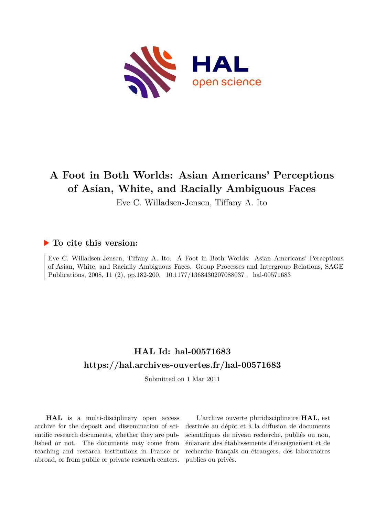

# **A Foot in Both Worlds: Asian Americans' Perceptions of Asian, White, and Racially Ambiguous Faces**

Eve C. Willadsen-Jensen, Tiffany A. Ito

# **To cite this version:**

Eve C. Willadsen-Jensen, Tiffany A. Ito. A Foot in Both Worlds: Asian Americans' Perceptions of Asian, White, and Racially Ambiguous Faces. Group Processes and Intergroup Relations, SAGE Publications, 2008, 11 (2), pp.182-200.  $10.1177/1368430207088037$ . hal-00571683

# **HAL Id: hal-00571683 <https://hal.archives-ouvertes.fr/hal-00571683>**

Submitted on 1 Mar 2011

**HAL** is a multi-disciplinary open access archive for the deposit and dissemination of scientific research documents, whether they are published or not. The documents may come from teaching and research institutions in France or abroad, or from public or private research centers.

L'archive ouverte pluridisciplinaire **HAL**, est destinée au dépôt et à la diffusion de documents scientifiques de niveau recherche, publiés ou non, émanant des établissements d'enseignement et de recherche français ou étrangers, des laboratoires publics ou privés.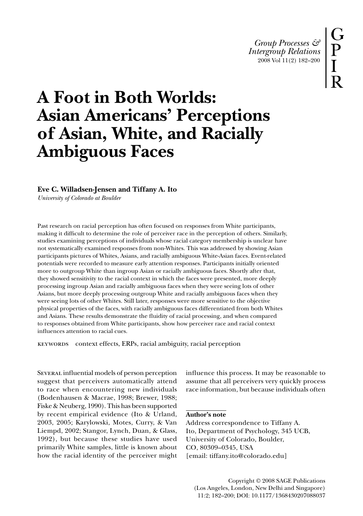*Group Processes & Intergroup Relations* 2008 Vol 11(2) 182–200

# **A Foot in Both Worlds: Asian Americans' Perceptions of Asian, White, and Racially Ambiguous Faces**

#### **Eve C. Willadsen-Jensen and Tiffany A. Ito**

*University of Colorado at Boulder*

Past research on racial perception has often focused on responses from White participants, making it difficult to determine the role of perceiver race in the perception of others. Similarly, studies examining perceptions of individuals whose racial category membership is unclear have not systematically examined responses from non-Whites. This was addressed by showing Asian participants pictures of Whites, Asians, and racially ambiguous White-Asian faces. Event-related potentials were recorded to measure early attention responses. Participants initially oriented more to outgroup White than ingroup Asian or racially ambiguous faces. Shortly after that, they showed sensitivity to the racial context in which the faces were presented, more deeply processing ingroup Asian and racially ambiguous faces when they were seeing lots of other Asians, but more deeply processing outgroup White and racially ambiguous faces when they were seeing lots of other Whites. Still later, responses were more sensitive to the objective physical properties of the faces, with racially ambiguous faces differentiated from both Whites and Asians. These results demonstrate the fluidity of racial processing, and when compared to responses obtained from White participants, show how perceiver race and racial context influences attention to racial cues.

keywords context effects, ERPs, racial ambiguity, racial perception

SEVERAL influential models of person perception suggest that perceivers automatically attend to race when encountering new individuals (Bodenhausen & Macrae, 1998; Brewer, 1988; Fiske & Neuberg, 1990). This has been supported by recent empirical evidence (Ito & Urland, 2003, 2005; Karylowski, Motes, Curry, & Van Liempd, 2002; Stangor, Lynch, Duan, & Glass, 1992), but because these studies have used primarily White samples, little is known about how the racial identity of the perceiver might influence this process. It may be reasonable to assume that all perceivers very quickly process race information, but because individuals often

#### **Author's note**

Address correspondence to Tiffany A. Ito, Department of Psychology, 345 UCB, University of Colorado, Boulder, CO, 80309–0345, USA [email: tiffany.ito@colorado.edu]

Copyright © 2008 SAGE Publications (Los Angeles, London, New Delhi and Singapore) 11:2; 182–200; DOI: 10.1177/1368430207088037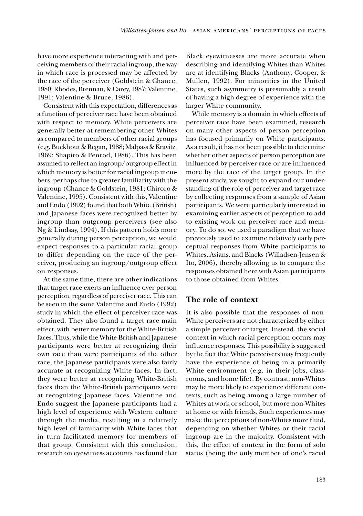have more experience interacting with and perceiving members of their racial ingroup, the way in which race is processed may be affected by the race of the perceiver (Goldstein & Chance, 1980; Rhodes, Brennan, & Carey, 1987; Valentine, 1991; Valentine & Bruce, 1986).

Consistent with this expectation, differences as a function of perceiver race have been obtained with respect to memory. White perceivers are generally better at remembering other Whites as compared to members of other racial groups (e.g. Buckhout & Regan, 1988; Malpass & Kravitz, 1969; Shapiro & Penrod, 1986). This has been assumed to reflect an ingroup/outgroup effect in which memory is better for racial ingroup members, perhaps due to greater familiarity with the ingroup (Chance & Goldstein, 1981; Chiroro & Valentine, 1995). Consistent with this, Valentine and Endo (1992) found that both White (British) and Japanese faces were recognized better by ingroup than outgroup perceivers (see also Ng & Lindsay, 1994). If this pattern holds more generally during person perception, we would expect responses to a particular racial group to differ depending on the race of the perceiver, producing an ingroup/outgroup effect on responses.

At the same time, there are other indications that target race exerts an influence over person perception, regardless of perceiver race. This can be seen in the same Valentine and Endo (1992) study in which the effect of perceiver race was obtained. They also found a target race main effect, with better memory for the White-British faces. Thus, while the White-British and Japanese participants were better at recognizing their own race than were participants of the other race, the Japanese participants were also fairly accurate at recognizing White faces. In fact, they were better at recognizing White-British faces than the White-British participants were at recognizing Japanese faces. Valentine and Endo suggest the Japanese participants had a high level of experience with Western culture through the media, resulting in a relatively high level of familiarity with White faces that in turn facilitated memory for members of that group. Consistent with this conclusion, research on eyewitness accounts has found that

Black eyewitnesses are more accurate when describing and identifying Whites than Whites are at identifying Blacks (Anthony, Cooper, & Mullen, 1992). For minorities in the United States, such asymmetry is presumably a result of having a high degree of experience with the larger White community.

While memory is a domain in which effects of perceiver race have been examined, research on many other aspects of person perception has focused primarily on White participants. As a result, it has not been possible to determine whether other aspects of person perception are influenced by perceiver race or are influenced more by the race of the target group. In the present study, we sought to expand our understanding of the role of perceiver and target race by collecting responses from a sample of Asian participants. We were particularly interested in examining earlier aspects of perception to add to existing work on perceiver race and memory. To do so, we used a paradigm that we have previously used to examine relatively early perceptual responses from White participants to Whites, Asians, and Blacks (Willadsen-Jensen & Ito, 2006), thereby allowing us to compare the responses obtained here with Asian participants to those obtained from Whites.

#### **The role of context**

It is also possible that the responses of non-White perceivers are not characterized by either a simple perceiver or target. Instead, the social context in which racial perception occurs may influence responses. This possibility is suggested by the fact that White perceivers may frequently have the experience of being in a primarily White environment (e.g. in their jobs, classrooms, and home life). By contrast, non-Whites may be more likely to experience different contexts, such as being among a large number of Whites at work or school, but more non-Whites at home or with friends. Such experiences may make the perceptions of non-Whites more fluid, depending on whether Whites or their racial ingroup are in the majority. Consistent with this, the effect of context in the form of solo status (being the only member of one's racial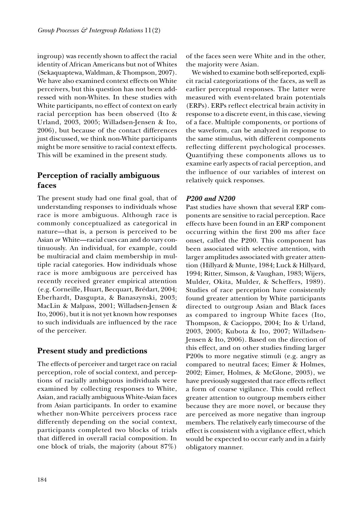ingroup) was recently shown to affect the racial identity of African Americans but not of Whites (Sekaquaptewa, Waldman, & Thompson, 2007). We have also examined context effects on White perceivers, but this question has not been addressed with non-Whites. In these studies with White participants, no effect of context on early racial perception has been observed (Ito & Urland, 2003, 2005; Willadsen-Jensen & Ito, 2006), but because of the contact differences just discussed, we think non-White participants might be more sensitive to racial context effects. This will be examined in the present study.

# **Perception of racially ambiguous faces**

The present study had one final goal, that of understanding responses to individuals whose race is more ambiguous. Although race is commonly conceptualized as categorical in nature—that is, a person is perceived to be Asian *or* White—racial cues can and do vary continuously. An individual, for example, could be multiracial and claim membership in multiple racial categories. How individuals whose race is more ambiguous are perceived has recently received greater empirical attention (e.g. Corneille, Huart, Becquart, Brédart, 2004; Eberhardt, Dasgupta, & Banaszynski, 2003; MacLin & Malpass, 2001; Willadsen-Jensen & Ito, 2006), but it is not yet known how responses to such individuals are influenced by the race of the perceiver.

# **Present study and predictions**

The effects of perceiver and target race on racial perception, role of social context, and perceptions of racially ambiguous individuals were examined by collecting responses to White, Asian, and racially ambiguous White-Asian faces from Asian participants. In order to examine whether non-White perceivers process race differently depending on the social context, participants completed two blocks of trials that differed in overall racial composition. In one block of trials, the majority (about 87%)

of the faces seen were White and in the other, the majority were Asian.

We wished to examine both self-reported, explicit racial categorizations of the faces, as well as earlier perceptual responses. The latter were measured with event-related brain potentials (ERPs). ERPs reflect electrical brain activity in response to a discrete event, in this case, viewing of a face. Multiple components, or portions of the waveform, can be analyzed in response to the same stimulus, with different components reflecting different psychological processes. Quantifying these components allows us to examine early aspects of racial perception, and the influence of our variables of interest on relatively quick responses.

## *P200 and N200*

Past studies have shown that several ERP components are sensitive to racial perception. Race effects have been found in an ERP component occurring within the first 200 ms after face onset, called the P200. This component has been associated with selective attention, with larger amplitudes associated with greater attention (Hillyard & Munte, 1984; Luck & Hillyard, 1994; Ritter, Simson, & Vaughan, 1983; Wijers, Mulder, Okita, Mulder, & Scheffers, 1989). Studies of race perception have consistently found greater attention by White participants directed to outgroup Asian and Black faces as compared to ingroup White faces (Ito, Thompson, & Cacioppo, 2004; Ito & Urland, 2003, 2005; Kubota & Ito, 2007; Willadsen-Jensen & Ito, 2006). Based on the direction of this effect, and on other studies finding larger P200s to more negative stimuli (e.g. angry as compared to neutral faces; Eimer & Holmes, 2002; Eimer, Holmes, & McGlone, 2003), we have previously suggested that race effects reflect a form of coarse vigilance. This could reflect greater attention to outgroup members either because they are more novel, or because they are perceived as more negative than ingroup members. The relatively early timecourse of the effect is consistent with a vigilance effect, which would be expected to occur early and in a fairly obligatory manner.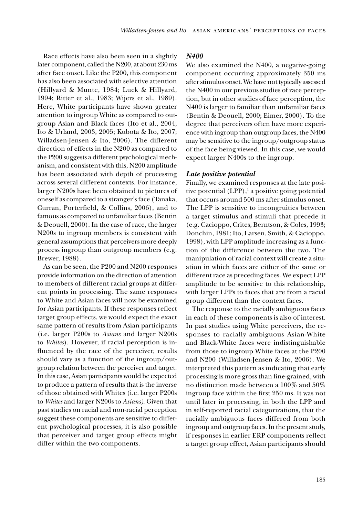Race effects have also been seen in a slightly later component, called the N200, at about 230 ms after face onset. Like the P200, this component has also been associated with selective attention (Hillyard & Munte, 1984; Luck & Hillyard, 1994; Ritter et al., 1983; Wijers et al., 1989). Here, White participants have shown greater attention to ingroup White as compared to outgroup Asian and Black faces (Ito et al., 2004; Ito & Urland, 2003, 2005; Kubota & Ito, 2007; Willadsen-Jensen & Ito, 2006). The different direction of effects in the N200 as compared to the P200 suggests a different psychological mechanism, and consistent with this, N200 amplitude has been associated with depth of processing across several different contexts. For instance, larger N200s have been obtained to pictures of oneself as compared to a stranger's face (Tanaka, Curran, Porterfield, & Collins, 2006), and to famous as compared to unfamiliar faces (Bentin & Deouell, 2000). In the case of race, the larger N200s to ingroup members is consistent with general assumptions that perceivers more deeply process ingroup than outgroup members (e.g. Brewer, 1988).

As can be seen, the P200 and N200 responses provide information on the direction of attention to members of different racial groups at different points in processing. The same responses to White and Asian faces will now be examined for Asian participants. If these responses reflect target group effects, we would expect the exact same pattern of results from Asian participants (i.e. larger P200s to *Asians* and larger N200s to *Whites*). However, if racial perception is influenced by the race of the perceiver, results should vary as a function of the ingroup/outgroup relation between the perceiver and target. In this case, Asian participants would be expected to produce a pattern of results that is the inverse of those obtained with Whites (i.e. larger P200s to *Whites* and larger N200s to *Asians)*. Given that past studies on racial and non-racial perception suggest these components are sensitive to different psychological processes, it is also possible that perceiver and target group effects might differ within the two components.

#### *N400*

We also examined the N400, a negative-going component occurring approximately 350 ms after stimulus onset. We have not typically assessed the N400 in our previous studies of race perception, but in other studies of face perception, the N400 is larger to familiar than unfamiliar faces (Bentin & Deouell, 2000; Eimer, 2000). To the degree that perceivers often have more experience with ingroup than outgroup faces, the N400 may be sensitive to the ingroup/outgroup status of the face being viewed. In this case, we would expect larger N400s to the ingroup.

#### *Late positive potential*

Finally, we examined responses at the late positive potential  $(LPP)$ ,<sup>1</sup> a positive going potential that occurs around 500 ms after stimulus onset. The LPP is sensitive to incongruities between a target stimulus and stimuli that precede it (e.g. Cacioppo, Crites, Berntson, & Coles, 1993; Donchin, 1981; Ito, Larsen, Smith, & Cacioppo, 1998), with LPP amplitude increasing as a function of the difference between the two. The manipulation of racial context will create a situation in which faces are either of the same or different race as preceding faces. We expect LPP amplitude to be sensitive to this relationship, with larger LPPs to faces that are from a racial group different than the context faces.

The response to the racially ambiguous faces in each of these components is also of interest. In past studies using White perceivers, the responses to racially ambiguous Asian-White and Black-White faces were indistinguishable from those to ingroup White faces at the P200 and N200 (Willadsen-Jensen & Ito, 2006). We interpreted this pattern as indicating that early processing is more gross than fine-grained, with no distinction made between a 100% and 50% ingroup face within the first 250 ms. It was not until later in processing, in both the LPP and in self-reported racial categorizations, that the racially ambiguous faces differed from both ingroup and outgroup faces. In the present study, if responses in earlier ERP components reflect a target group effect, Asian participants should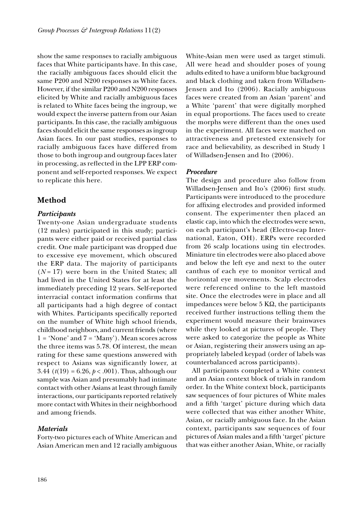show the same responses to racially ambiguous faces that White participants have. In this case, the racially ambiguous faces should elicit the same P200 and N200 responses as White faces. However, if the similar P200 and N200 responses elicited by White and racially ambiguous faces is related to White faces being the ingroup, we would expect the inverse pattern from our Asian participants. In this case, the racially ambiguous faces should elicit the same responses as ingroup Asian faces. In our past studies, responses to racially ambiguous faces have differed from those to both ingroup and outgroup faces later in processing, as reflected in the LPP ERP component and self-reported responses. We expect to replicate this here.

## **Method**

#### *Participants*

Twenty-one Asian undergraduate students (12 males) participated in this study; participants were either paid or received partial class credit. One male participant was dropped due to excessive eye movement, which obscured the ERP data. The majority of participants  $(N = 17)$  were born in the United States; all had lived in the United States for at least the immediately preceding 12 years. Self-reported interracial contact information confirms that all participants had a high degree of contact with Whites. Participants specifically reported on the number of White high school friends, childhood neighbors, and current friends (where  $1 = 'None'$  and  $7 = 'Many'$ ). Mean scores across the three items was 5.78. Of interest, the mean rating for these same questions answered with respect to Asians was significantly lower, at 3.44  $(t(19) = 6.26, p < .001)$ . Thus, although our sample was Asian and presumably had intimate contact with other Asians at least through family interactions, our participants reported relatively more contact with Whites in their neighborhood and among friends.

#### *Materials*

Forty-two pictures each of White American and Asian American men and 12 racially ambiguous

White-Asian men were used as target stimuli. All were head and shoulder poses of young adults edited to have a uniform blue background and black clothing and taken from Willadsen-Jensen and Ito (2006). Racially ambiguous faces were created from an Asian 'parent' and a White 'parent' that were digitally morphed in equal proportions. The faces used to create the morphs were different than the ones used in the experiment. All faces were matched on attractiveness and pretested extensively for race and believability, as described in Study 1 of Willadsen-Jensen and Ito (2006).

#### *Procedure*

The design and procedure also follow from Willadsen-Jensen and Ito's (2006) first study. Participants were introduced to the procedure for affixing electrodes and provided informed consent. The experimenter then placed an elastic cap, into which the electrodes were sewn, on each participant's head (Electro-cap International, Eaton, OH). ERPs were recorded from 26 scalp locations using tin electrodes. Miniature tin electrodes were also placed above and below the left eye and next to the outer canthus of each eye to monitor vertical and horizontal eye movements. Scalp electrodes were referenced online to the left mastoid site. Once the electrodes were in place and all impedances were below  $5$  K $\Omega$ , the participants received further instructions telling them the experiment would measure their brainwaves while they looked at pictures of people. They were asked to categorize the people as White or Asian, registering their answers using an appropriately labeled keypad (order of labels was counterbalanced across participants).

All participants completed a White context and an Asian context block of trials in random order. In the White context block, participants saw sequences of four pictures of White males and a fifth 'target' picture during which data were collected that was either another White, Asian, or racially ambiguous face. In the Asian context, participants saw sequences of four pictures of Asian males and a fifth 'target' picture that was either another Asian, White, or racially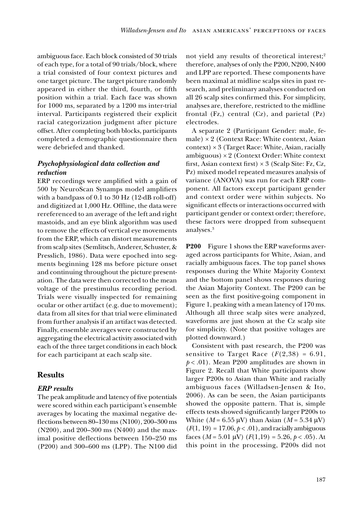ambiguous face. Each block consisted of 30 trials of each type, for a total of 90 trials/block, where a trial consisted of four context pictures and one target picture. The target picture randomly appeared in either the third, fourth, or fifth position within a trial. Each face was shown for 1000 ms, separated by a 1200 ms inter-trial interval. Participants registered their explicit racial categorization judgment after picture offset. After completing both blocks, participants completed a demographic questionnaire then were debriefed and thanked.

#### *Psychophysiological data collection and reduction*

ERP recordings were amplified with a gain of 500 by NeuroScan Synamps model amplifiers with a bandpass of 0.1 to 30 Hz (12-dB roll-off) and digitized at 1,000 Hz. Offline, the data were rereferenced to an average of the left and right mastoids, and an eye blink algorithm was used to remove the effects of vertical eye movements from the ERP, which can distort measurements from scalp sites (Semlitsch, Anderer, Schuster, & Presslich, 1986). Data were epoched into segments beginning 128 ms before picture onset and continuing throughout the picture presentation. The data were then corrected to the mean voltage of the prestimulus recording period. Trials were visually inspected for remaining ocular or other artifact (e.g. due to movement); data from all sites for that trial were eliminated from further analysis if an artifact was detected. Finally, ensemble averages were constructed by aggregating the electrical activity associated with each of the three target conditions in each block for each participant at each scalp site.

#### **Results**

#### *ERP results*

The peak amplitude and latency of five potentials were scored within each participant's ensemble averages by locating the maximal negative deflections between 80-130 ms (N100), 200-300 ms (N200), and 200–300 ms (N400) and the maximal positive deflections between 150–250 ms (P200) and 300–600 ms (LPP). The N100 did not yield any results of theoretical interest;<sup>2</sup> therefore, analyses of only the P200, N200, N400 and LPP are reported. These components have been maximal at midline scalps sites in past research, and preliminary analyses conducted on all 26 scalp sites confirmed this. For simplicity, analyses are, therefore, restricted to the midline frontal  $(Fz)$ , central  $(Cz)$ , and parietal  $(Pz)$ electrodes.

A separate 2 (Participant Gender: male, female) × 2 (Context Race: White context, Asian context) × 3 (Target Race: White, Asian, racially ambiguous) × 2 (Context Order: White context first, Asian context first)  $\times$  3 (Scalp Site: Fz, Cz, Pz) mixed model repeated measures analysis of variance (ANOVA) was run for each ERP component. All factors except participant gender and context order were within subjects. No significant effects or interactions occurred with participant gender or context order; therefore, these factors were dropped from subsequent analyses.3

**P200** Figure 1 shows the ERP waveforms averaged across participants for White, Asian, and racially ambiguous faces. The top panel shows responses during the White Majority Context and the bottom panel shows responses during the Asian Majority Context. The P200 can be seen as the first positive-going component in Figure 1, peaking with a mean latency of 170 ms. Although all three scalp sites were analyzed, waveforms are just shown at the Cz scalp site for simplicity. (Note that positive voltages are plotted downward.)

Consistent with past research, the P200 was sensitive to Target Race  $(F(2,38) = 6.91,$ *p* < .01). Mean P200 amplitudes are shown in Figure 2. Recall that White participants show larger P200s to Asian than White and racially ambiguous faces (Willadsen-Jensen & Ito, 2006). As can be seen, the Asian participants showed the opposite pattern. That is, simple effects tests showed significantly larger P200s to White ( $M = 6.55 \text{ \mu V}$ ) than Asian ( $M = 5.34 \text{ \mu V}$ )  $(F(1, 19) = 17.06, p < .01)$ , and racially ambiguous faces  $(M = 5.01 \text{ \mu V})$   $(F(1,19) = 5.26, p < .05)$ . At this point in the processing, P200s did not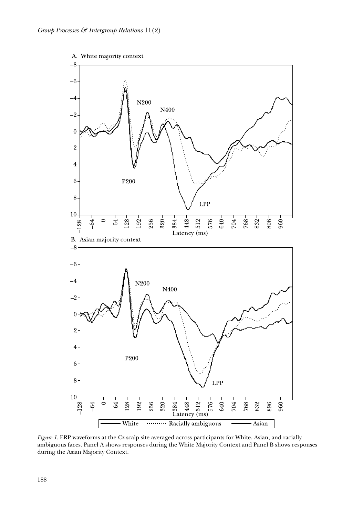

*Figure 1*. ERP waveforms at the Cz scalp site averaged across participants for White, Asian, and racially ambiguous faces. Panel A shows responses during the White Majority Context and Panel B shows responses during the Asian Majority Context.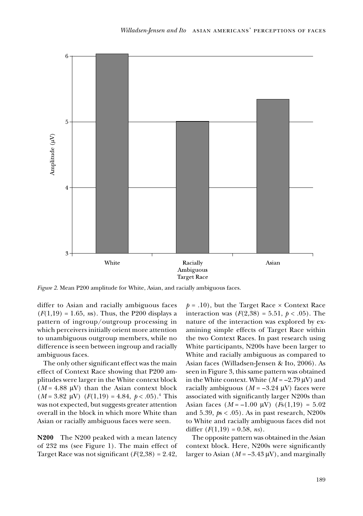

*Figure 2.* Mean P200 amplitude for White, Asian, and racially ambiguous faces.

differ to Asian and racially ambiguous faces  $(F(1,19) = 1.65, ns)$ . Thus, the P200 displays a pattern of ingroup/outgroup processing in which perceivers initially orient more attention to unambiguous outgroup members, while no difference is seen between ingroup and racially ambiguous faces.

The only other significant effect was the main effect of Context Race showing that P200 amplitudes were larger in the White context block  $(M = 4.88 \text{ }\mu\text{V})$  than the Asian context block  $(M = 3.82 \text{ }\mu\text{V})$   $(F(1,19) = 4.84, p < .05).$ <sup>4</sup> This was not expected, but suggests greater attention overall in the block in which more White than Asian or racially ambiguous faces were seen.

**N200** The N200 peaked with a mean latency of 232 ms (see Figure 1). The main effect of Target Race was not significant  $(F(2,38) = 2.42)$ ,

 $p = .10$ ), but the Target Race  $\times$  Context Race interaction was  $(F(2,38) = 5.51, p < .05)$ . The nature of the interaction was explored by examining simple effects of Target Race within the two Context Races. In past research using White participants, N200s have been larger to White and racially ambiguous as compared to Asian faces (Willadsen-Jensen & Ito, 2006). As seen in Figure 3, this same pattern was obtained in the White context. White  $(M = -2.79 \,\text{\textup{\texttt{\mu}V}})$  and racially ambiguous  $(M = -3.24 \text{ }\mu\text{V})$  faces were associated with significantly larger N200s than Asian faces  $(M = -1.00 \text{ \mu V})$   $(Fs(1,19) = 5.02$ and 5.39, *p*s < .05). As in past research, N200s to White and racially ambiguous faces did not differ  $(F(1,19) = 0.58, ns)$ .

The opposite pattern was obtained in the Asian context block. Here, N200s were significantly larger to Asian  $(M = -3.43 \,\text{\textup{uV}})$ , and marginally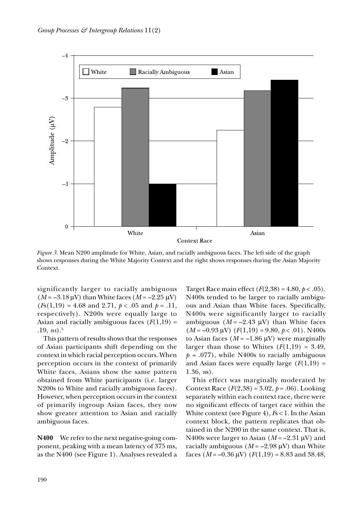

*Figure 3.* Mean N200 amplitude for White, Asian, and racially ambiguous faces. The left side of the graph shows responses during the White Majority Context and the right shows responses during the Asian Majority Context.

significantly larger to racially ambiguous  $(M = -3.18 \,\text{\textup{uV}})$  than White faces  $(M = -2.25 \,\text{\textup{uV}})$  $(Fs(1,19) = 4.68$  and 2.71,  $p < .05$  and  $p = .11$ , respectively). N200s were equally large to Asian and racially ambiguous faces  $(F(1,19))$  $.19. ns.$ <sup>5</sup>

This pattern of results shows that the responses of Asian participants shift depending on the context in which racial perception occurs. When perception occurs in the context of primarily White faces, Asians show the same pattern obtained from White participants (i.e. larger N200s to White and racially ambiguous faces). However, when perception occurs in the context of primarily ingroup Asian faces, they now show greater attention to Asian and racially ambiguous faces.

**N400** We refer to the next negative-going component, peaking with a mean latency of 375 ms, as the N400 (see Figure 1). Analyses revealed a Target Race main effect  $(F(2,38) = 4.80, p < .05)$ . N400s tended to be larger to racially ambiguous and Asian than White faces. Specifically, N400s were significantly larger to racially ambiguous  $(M = -2.43 \text{ \mu V})$  than White faces  $(M = -0.93 \text{ \mu V})$   $(F(1,19) = 9.80, p < .01)$ . N400s to Asian faces  $(M = -1.86 \,\text{\upmu V})$  were marginally larger than those to Whites  $(F(1,19) = 3.49)$ ,  $p = .077$ , while N400s to racially ambiguous and Asian faces were equally large  $(F(1,19))$  = 1.36, *n*s).

This effect was marginally moderated by Context Race  $(F(2,38) = 3.02, p = .06)$ . Looking separately within each context race, there were no significant effects of target race within the White context (see Figure 4), *F*s < 1. In the Asian context block, the pattern replicates that obtained in the N200 in the same context. That is, N400s were larger to Asian  $(M = -2.31 \text{ }\mu\text{V})$  and racially ambiguous ( $M = -2.98 \mu V$ ) than White faces  $(M = -0.36 \,\text{\textmu V})$   $(F(1,19) = 8.83 \text{ and } 38.48,$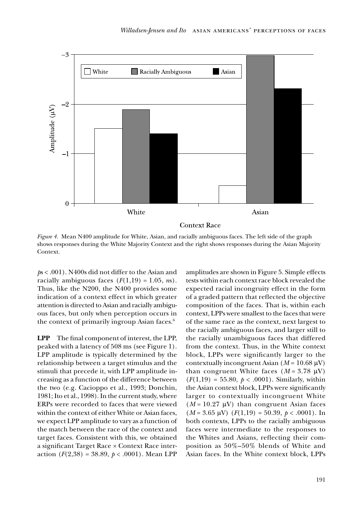

*Figure 4.* Mean N400 amplitude for White, Asian, and racially ambiguous faces. The left side of the graph shows responses during the White Majority Context and the right shows responses during the Asian Majority Context.

*p*s < .001). N400s did not differ to the Asian and racially ambiguous faces  $(F(1,19) = 1.05, ns)$ . Thus, like the N200, the N400 provides some indication of a context effect in which greater attention is directed to Asian and racially ambiguous faces, but only when perception occurs in the context of primarily ingroup Asian faces. $6$ 

**LPP** The final component of interest, the LPP, peaked with a latency of 508 ms (see Figure 1). LPP amplitude is typically determined by the relationship between a target stimulus and the stimuli that precede it, with LPP amplitude increasing as a function of the difference between the two (e.g. Cacioppo et al., 1993; Donchin, 1981; Ito et al., 1998). In the current study, where ERPs were recorded to faces that were viewed within the context of either White or Asian faces, we expect LPP amplitude to vary as a function of the match between the race of the context and target faces. Consistent with this, we obtained a significant Target Race × Context Race interaction  $(F(2,38) = 38.89, p < .0001)$ . Mean LPP

amplitudes are shown in Figure 5. Simple effects tests within each context race block revealed the expected racial incongruity effect in the form of a graded pattern that reflected the objective composition of the faces. That is, within each context, LPPs were smallest to the faces that were of the same race as the context, next largest to the racially ambiguous faces, and larger still to the racially unambiguous faces that differed from the context. Thus, in the White context block, LPPs were significantly larger to the contextually incongruent Asian  $(M = 10.68 \,\mu\text{V})$ than congruent White faces  $(M = 3.78 \text{ }\mu\text{V})$  $(F(1,19) = 55.80, p < .0001)$ . Similarly, within the Asian context block, LPPs were significantly larger to contextually incongruent White  $(M = 10.27 \text{ }\mu\text{V})$  than congruent Asian faces  $(M = 3.65 \text{ \mu V})$   $(F(1,19) = 50.39, p < .0001)$ . In both contexts, LPPs to the racially ambiguous faces were intermediate to the responses to the Whites and Asians, reflecting their composition as 50%–50% blends of White and Asian faces. In the White context block, LPPs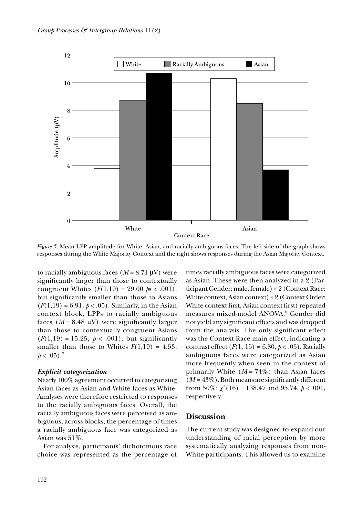

*Figure 5.* Mean LPP amplitude for White, Asian, and racially ambiguous faces. The left side of the graph shows responses during the White Majority Context and the right shows responses during the Asian Majority Context.

to racially ambiguous faces  $(M = 8.71 \,\mu\text{V})$  were significantly larger than those to contextually congruent Whites  $(F(1,19) = 29.00 \text{ ps} < .001)$ , but significantly smaller than those to Asians  $(F(1,19) = 6.91, p < .05)$ . Similarly, in the Asian context block, LPPs to racially ambiguous faces  $(M = 8.48 \text{ }\mu\text{V})$  were significantly larger than those to contextually congruent Asians  $(F(1,19) = 15.25, p < .001)$ , but significantly smaller than those to Whites  $F(1,19) = 4.53$ ,  $p < .05$ ).<sup>7</sup>

#### *Explicit categorization*

Nearly 100% agreement occurred in categorizing Asian faces as Asian and White faces as White. Analyses were therefore restricted to responses to the racially ambiguous faces. Overall, the racially ambiguous faces were perceived as ambiguous; across blocks, the percentage of times a racially ambiguous face was categorized as Asian was 51%.

For analysis, participants' dichotomous race choice was represented as the percentage of

times racially ambiguous faces were categorized as Asian. These were then analyzed in a 2 (Participant Gender: male, female) × 2 (Context Race: White context, Asian context)  $\times$  2 (Context Order: White context first, Asian context first) repeated measures mixed-model ANOVA.8 Gender did not yield any significant effects and was dropped from the analysis. The only significant effect was the Context Race main effect, indicating a contrast effect  $(F(1, 15) = 6.80, p < .05)$ . Racially ambiguous faces were categorized as Asian more frequently when seen in the context of primarily White  $(M = 74\%)$  than Asian faces  $(M = 43\%)$ . Both means are significantly different from  $50\%$ :  $\chi^2(16) = 138.47$  and  $95.74$ ,  $p < .001$ , respectively.

#### **Discussion**

The current study was designed to expand our understanding of racial perception by more systematically analyzing responses from non-White participants. This allowed us to examine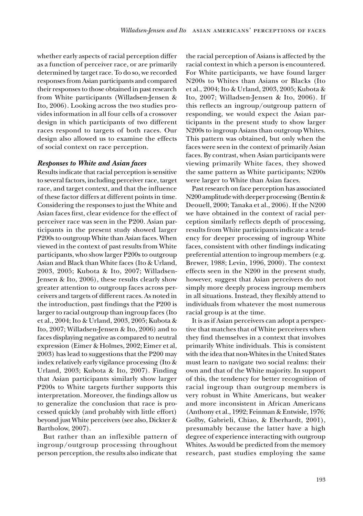whether early aspects of racial perception differ as a function of perceiver race, or are primarily determined by target race. To do so, we recorded responses from Asian participants and compared their responses to those obtained in past research from White participants (Willadsen-Jensen & Ito, 2006). Looking across the two studies provides information in all four cells of a crossover design in which participants of two different races respond to targets of both races. Our design also allowed us to examine the effects of social context on race perception.

#### *Responses to White and Asian faces*

Results indicate that racial perception is sensitive to several factors, including perceiver race, target race, and target context, and that the influence of these factor differs at different points in time. Considering the responses to just the White and Asian faces first, clear evidence for the effect of perceiver race was seen in the P200. Asian participants in the present study showed larger P200s to outgroup White than Asian faces. When viewed in the context of past results from White participants, who show larger P200s to outgroup Asian and Black than White faces (Ito & Urland, 2003, 2005; Kubota & Ito, 2007; Willadsen-Jensen & Ito, 2006), these results clearly show greater attention to outgroup faces across perceivers and targets of different races. As noted in the introduction, past findings that the P200 is larger to racial outgroup than ingroup faces (Ito et al., 2004; Ito & Urland, 2003, 2005; Kubota & Ito, 2007; Willadsen-Jensen & Ito, 2006) and to faces displaying negative as compared to neutral expression (Eimer & Holmes, 2002; Eimer et al, 2003) has lead to suggestions that the P200 may index relatively early vigilance processing (Ito & Urland, 2003; Kubota & Ito, 2007). Finding that Asian participants similarly show larger P200s to White targets further supports this interpretation. Moreover, the findings allow us to generalize the conclusion that race is processed quickly (and probably with little effort) beyond just White perceivers (see also, Dickter & Bartholow, 2007).

But rather than an inflexible pattern of ingroup/outgroup processing throughout person perception, the results also indicate that

the racial perception of Asians is affected by the racial context in which a person is encountered. For White participants, we have found larger N200s to Whites than Asians or Blacks (Ito et al., 2004; Ito & Urland, 2003, 2005; Kubota & Ito, 2007; Willadsen-Jensen & Ito, 2006). If this reflects an ingroup/outgroup pattern of responding, we would expect the Asian participants in the present study to show larger N200s to ingroup Asians than outgroup Whites. This pattern was obtained, but only when the faces were seen in the context of primarily Asian faces. By contrast, when Asian participants were viewing primarily White faces, they showed the same pattern as White participants; N200s were larger to White than Asian faces.

Past research on face perception has associated N200 amplitude with deeper processing (Bentin & Deouell, 2000; Tanaka et al., 2006). If the N200 we have obtained in the context of racial perception similarly reflects depth of processing, results from White participants indicate a tendency for deeper processing of ingroup White faces, consistent with other findings indicating preferential attention to ingroup members (e.g. Brewer, 1988; Levin, 1996, 2000). The context effects seen in the N200 in the present study, however, suggest that Asian perceivers do not simply more deeply process ingroup members in all situations. Instead, they flexibly attend to individuals from whatever the most numerous racial group is at the time.

It is as if Asian perceivers can adopt a perspective that matches that of White perceivers when they find themselves in a context that involves primarily White individuals. This is consistent with the idea that non-Whites in the United States must learn to navigate two social realms: their own and that of the White majority. In support of this, the tendency for better recognition of racial ingroup than outgroup members is very robust in White Americans, but weaker and more inconsistent in African Americans (Anthony et al., 1992; Feinman & Entwisle, 1976; Golby, Gabrieli, Chiao, & Eberhardt, 2001), presumably because the latter have a high degree of experience interacting with outgroup Whites. As would be predicted from the memory research, past studies employing the same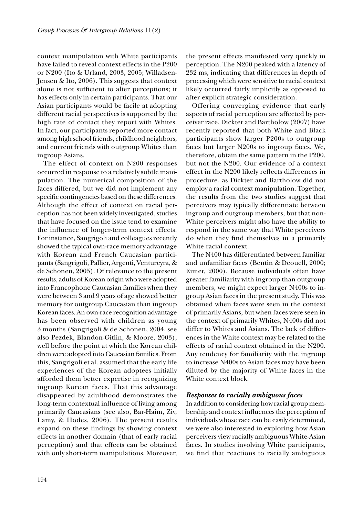context manipulation with White participants have failed to reveal context effects in the P200 or N200 (Ito & Urland, 2003, 2005; Willadsen-Jensen & Ito, 2006). This suggests that context alone is not sufficient to alter perceptions; it has effects only in certain participants. That our Asian participants would be facile at adopting different racial perspectives is supported by the high rate of contact they report with Whites. In fact, our participants reported more contact among high school friends, childhood neighbors, and current friends with outgroup Whites than ingroup Asians.

The effect of context on N200 responses occurred in response to a relatively subtle manipulation. The numerical composition of the faces differed, but we did not implement any specific contingencies based on these differences. Although the effect of context on racial perception has not been widely investigated, studies that have focused on the issue tend to examine the influence of longer-term context effects. For instance, Sangrigoli and colleagues recently showed the typical own-race memory advantage with Korean and French Caucasian participants (Sangrigoli, Pallier, Argenti, Ventureyra, & de Schonen, 2005). Of relevance to the present results, adults of Korean origin who were adopted into Francophone Caucasian families when they were between 3 and 9 years of age showed better memory for outgroup Caucasian than ingroup Korean faces. An own-race recognition advantage has been observed with children as young 3 months (Sangrigoli & de Schonen, 2004, see also Pezdek, Blandon-Gitlin, & Moore, 2003), well before the point at which the Korean children were adopted into Caucasian families. From this, Sangrigoli et al. assumed that the early life experiences of the Korean adoptees initially afforded them better expertise in recognizing ingroup Korean faces. That this advantage disappeared by adulthood demonstrates the long-term contextual influence of living among primarily Caucasians (see also, Bar-Haim, Ziv, Lamy, & Hodes, 2006). The present results expand on these findings by showing context effects in another domain (that of early racial perception) and that effects can be obtained with only short-term manipulations. Moreover, the present effects manifested very quickly in perception. The N200 peaked with a latency of 232 ms, indicating that differences in depth of processing which were sensitive to racial context likely occurred fairly implicitly as opposed to after explicit strategic consideration.

Offering converging evidence that early aspects of racial perception are affected by perceiver race, Dickter and Bartholow (2007) have recently reported that both White and Black participants show larger P200s to outgroup faces but larger N200s to ingroup faces. We, therefore, obtain the same pattern in the P200, but not the N200. Our evidence of a context effect in the N200 likely reflects differences in procedure, as Dickter and Bartholow did not employ a racial context manipulation. Together, the results from the two studies suggest that perceivers may typically differentiate between ingroup and outgroup members, but that non-White perceivers might also have the ability to respond in the same way that White perceivers do when they find themselves in a primarily White racial context.

The N400 has differentiated between familiar and unfamiliar faces (Bentin & Deouell, 2000; Eimer, 2000). Because individuals often have greater familiarity with ingroup than outgroup members, we might expect larger N400s to ingroup Asian faces in the present study. This was obtained when faces were seen in the context of primarily Asians, but when faces were seen in the context of primarily Whites, N400s did not differ to Whites and Asians. The lack of differences in the White context may be related to the effects of racial context obtained in the N200. Any tendency for familiarity with the ingroup to increase N400s to Asian faces may have been diluted by the majority of White faces in the White context block.

#### *Responses to racially ambiguous faces*

In addition to considering how racial group membership and context influences the perception of individuals whose race can be easily determined, we were also interested in exploring how Asian perceivers view racially ambiguous White-Asian faces. In studies involving White participants, we find that reactions to racially ambiguous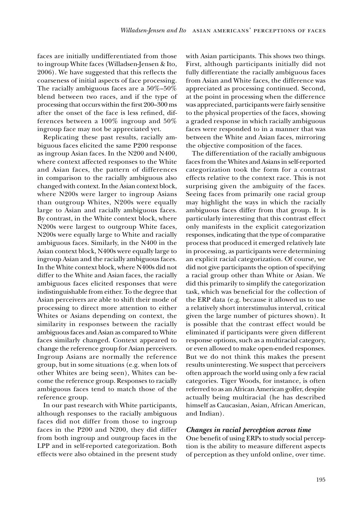faces are initially undifferentiated from those to ingroup White faces (Willadsen-Jensen & Ito, 2006). We have suggested that this reflects the coarseness of initial aspects of face processing. The racially ambiguous faces are a 50%–50% blend between two races, and if the type of processing that occurs within the first 200–300 ms after the onset of the face is less refined, differences between a 100% ingroup and 50% ingroup face may not be appreciated yet.

Replicating these past results, racially ambiguous faces elicited the same P200 response as ingroup Asian faces. In the N200 and N400, where context affected responses to the White and Asian faces, the pattern of differences in comparison to the racially ambiguous also changed with context. In the Asian context block, where N200s were larger to ingroup Asians than outgroup Whites, N200s were equally large to Asian and racially ambiguous faces. By contrast, in the White context block, where N200s were largest to outgroup White faces, N200s were equally large to White and racially ambiguous faces. Similarly, in the N400 in the Asian context block, N400s were equally large to ingroup Asian and the racially ambiguous faces. In the White context block, where N400s did not differ to the White and Asian faces, the racially ambiguous faces elicited responses that were indistinguishable from either. To the degree that Asian perceivers are able to shift their mode of processing to direct more attention to either Whites or Asians depending on context, the similarity in responses between the racially ambiguous faces and Asian as compared to White faces similarly changed. Context appeared to change the reference group for Asian perceivers. Ingroup Asians are normally the reference group, but in some situations (e.g. when lots of other Whites are being seen), Whites can become the reference group. Responses to racially ambiguous faces tend to match those of the reference group.

In our past research with White participants, although responses to the racially ambiguous faces did not differ from those to ingroup faces in the P200 and N200, they did differ from both ingroup and outgroup faces in the LPP and in self-reported categorization. Both effects were also obtained in the present study with Asian participants. This shows two things. First, although participants initially did not fully differentiate the racially ambiguous faces from Asian and White faces, the difference was appreciated as processing continued. Second, at the point in processing when the difference was appreciated, participants were fairly sensitive to the physical properties of the faces, showing a graded response in which racially ambiguous faces were responded to in a manner that was between the White and Asian faces, mirroring the objective composition of the faces.

The differentiation of the racially ambiguous faces from the Whites and Asians in self-reported categorization took the form for a contrast effects relative to the context race. This is not surprising given the ambiguity of the faces. Seeing faces from primarily one racial group may highlight the ways in which the racially ambiguous faces differ from that group. It is particularly interesting that this contrast effect only manifests in the explicit categorization responses, indicating that the type of comparative process that produced it emerged relatively late in processing, as participants were determining an explicit racial categorization. Of course, we did not give participants the option of specifying a racial group other than White or Asian. We did this primarily to simplify the categorization task, which was beneficial for the collection of the ERP data (e.g. because it allowed us to use a relatively short interstimulus interval, critical given the large number of pictures shown). It is possible that the contrast effect would be eliminated if participants were given different response options, such as a multiracial category, or even allowed to make open-ended responses. But we do not think this makes the present results uninteresting. We suspect that perceivers often approach the world using only a few racial categories. Tiger Woods, for instance, is often referred to as an African American golfer, despite actually being multiracial (he has described himself as Caucasian, Asian, African American, and Indian).

#### *Changes in racial perception across time*

One benefit of using ERPs to study social perception is the ability to measure different aspects of perception as they unfold online, over time.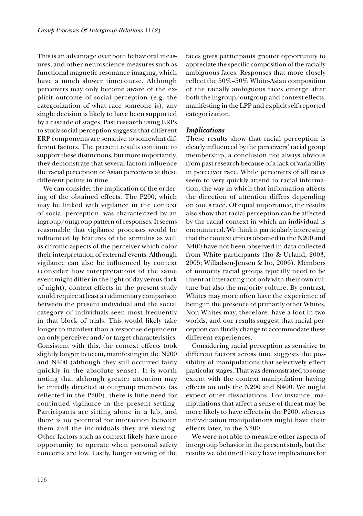This is an advantage over both behavioral measures, and other neuroscience measures such as functional magnetic resonance imaging, which have a much slower timecourse. Although perceivers may only become aware of the explicit outcome of social perception (e.g. the categorization of what race someone is), any single decision is likely to have been supported by a cascade of stages. Past research using ERPs to study social perception suggests that different ERP components are sensitive to somewhat different factors. The present results continue to support these distinctions, but more importantly, they demonstrate that several factors influence the racial perception of Asian perceivers at these different points in time.

We can consider the implication of the ordering of the obtained effects. The P200, which may be linked with vigilance in the context of social perception, was characterized by an ingroup/outgroup pattern of responses. It seems reasonable that vigilance processes would be influenced by features of the stimulus as well as chronic aspects of the perceiver which color their interpretation of external events. Although vigilance can also be influenced by context (consider how interpretations of the same event might differ in the light of day versus dark of night), context effects in the present study would require at least a rudimentary comparison between the present individual and the social category of individuals seen most frequently in that block of trials. This would likely take longer to manifest than a response dependent on only perceiver and/or target characteristics. Consistent with this, the context effects took slightly longer to occur, manifesting in the N200 and N400 (although they still occurred fairly quickly in the absolute sense). It is worth noting that although greater attention may be initially directed at outgroup members (as reflected in the P200), there is little need for continued vigilance in the present setting. Participants are sitting alone in a lab, and there is no potential for interaction between them and the individuals they are viewing. Other factors such as context likely have more opportunity to operate when personal safety concerns are low. Lastly, longer viewing of the faces gives participants greater opportunity to appreciate the specific composition of the racially ambiguous faces. Responses that more closely reflect the 50%–50% White-Asian composition of the racially ambiguous faces emerge after both the ingroup/outgroup and context effects, manifesting in the LPP and explicit self-reported categorization.

#### *Implications*

These results show that racial perception is clearly influenced by the perceivers' racial group membership, a conclusion not always obvious from past research because of a lack of variability in perceiver race. While perceivers of all races seem to very quickly attend to racial information, the way in which that information affects the direction of attention differs depending on one's race. Of equal importance, the results also show that racial perception can be affected by the racial context in which an individual is encountered. We think it particularly interesting that the context effects obtained in the N200 and N400 have not been observed in data collected from White participants (Ito & Urland, 2003, 2005; Willadsen-Jensen & Ito, 2006). Members of minority racial groups typically need to be fluent at interacting not only with their own culture but also the majority culture. By contrast, Whites may more often have the experience of being in the presence of primarily other Whites. Non-Whites may, therefore, have a foot in two worlds, and our results suggest that racial perception can fluidly change to accommodate these different experiences.

Considering racial perception as sensitive to different factors across time suggests the possibility of manipulations that selectively effect particular stages. That was demonstrated to some extent with the context manipulation having effects on only the N200 and N400. We might expect other dissociations. For instance, manipulations that affect a sense of threat may be more likely to have effects in the P200, whereas individuation manipulations might have their effects later, in the N200.

We were not able to measure other aspects of intergroup behavior in the present study, but the results we obtained likely have implications for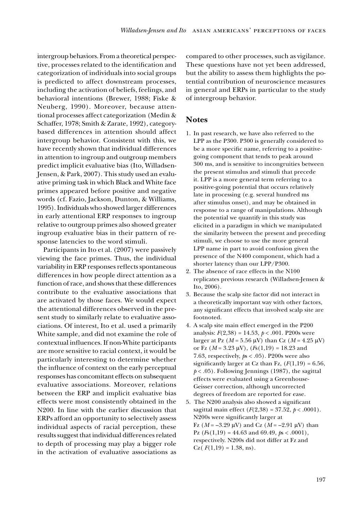intergroup behaviors. From a theoretical perspective, processes related to the identification and categorization of individuals into social groups is predicted to affect downstream processes, including the activation of beliefs, feelings, and behavioral intentions (Brewer, 1988; Fiske & Neuberg, 1990). Moreover, because attentional processes affect categorization (Medin & Schaffer, 1978; Smith & Zarate, 1992), categorybased differences in attention should affect intergroup behavior. Consistent with this, we have recently shown that individual differences in attention to ingroup and outgroup members predict implicit evaluative bias (Ito, Willadsen-Jensen, & Park, 2007). This study used an evaluative priming task in which Black and White face primes appeared before positive and negative words (cf. Fazio, Jackson, Dunton, & Williams, 1995). Individuals who showed larger differences in early attentional ERP responses to ingroup relative to outgroup primes also showed greater ingroup evaluative bias in their pattern of response latencies to the word stimuli.

Participants in Ito et al. (2007) were passively viewing the face primes. Thus, the individual variability in ERP responses reflects spontaneous differences in how people direct attention as a function of race, and shows that these differences contribute to the evaluative associations that are activated by those faces. We would expect the attentional differences observed in the present study to similarly relate to evaluative associations. Of interest, Ito et al. used a primarily White sample, and did not examine the role of contextual influences. If non-White participants are more sensitive to racial context, it would be particularly interesting to determine whether the influence of context on the early perceptual responses has concomitant effects on subsequent evaluative associations. Moreover, relations between the ERP and implicit evaluative bias effects were most consistently obtained in the N200. In line with the earlier discussion that ERPs afford an opportunity to selectively assess individual aspects of racial perception, these results suggest that individual differences related to depth of processing may play a bigger role in the activation of evaluative associations as

compared to other processes, such as vigilance. These questions have not yet been addressed, but the ability to assess them highlights the potential contribution of neuroscience measures in general and ERPs in particular to the study of intergroup behavior.

# **Notes**

- 1. In past research, we have also referred to the LPP as the P300. P300 is generally considered to be a more specific name, referring to a positivegoing component that tends to peak around 300 ms, and is sensitive to incongruities between the present stimulus and stimuli that precede it. LPP is a more general term referring to a positive-going potential that occurs relatively late in processing (e.g. several hundred ms after stimulus onset), and may be obtained in response to a range of manipulations. Although the potential we quantify in this study was elicited in a paradigm in which we manipulated the similarity between the present and preceding stimuli, we choose to use the more general LPP name in part to avoid confusion given the presence of the N400 component, which had a shorter latency than our LPP/P300.
- 2. The absence of race effects in the N100 replicates previous research (Willadsen-Jensen & Ito, 2006).
- 3. Because the scalp site factor did not interact in a theoretically important way with other factors, any significant effects that involved scalp site are footnoted.
- 4. A scalp site main effect emerged in the P200 analysis:  $F(2,38) = 14.53$ ,  $p < .001$ . P200s were larger at Pz ( $M = 5.56 \mu V$ ) than Cz ( $M = 4.25 \mu V$ ) or Fz  $(M = 3.23 \text{ }\mu\text{V})$ ,  $(Fs(1,19) = 18.23 \text{ and}$ 7.63, respectively, *p*s < .05). P200s were also significantly larger at Cz than Fz,  $(F(1,19) = 6.56)$ ,  $p < .05$ ). Following Jennings (1987), the sagittal effects were evaluated using a Greenhouse-Geisser correction, although uncorrected degrees of freedom are reported for ease.
- 5. The N200 analysis also showed a significant sagittal main effect  $(F(2,38) = 37.52, p < .0001)$ . N200s were significantly larger at Fz  $(M = -3.29 \text{ }\mu\text{V})$  and Cz  $(M = -2.91 \text{ }\mu\text{V})$  than Pz (*F*s(1,19) = 44.63 and 69.49, *p*s < .0001), respectively. N200s did not differ at Fz and  $Cz$ ( $F(1,19) = 1.38$ , ns).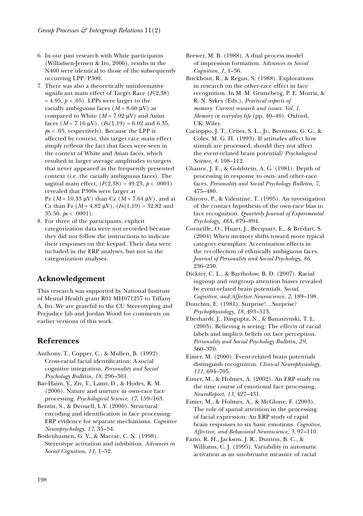- 6. In our past research with White participants (Willadsen-Jensen & Ito, 2006), results in the N400 were identical to those of the subsequently occurring LPP/P300.
- 7. There was also a theoretically uninformative significant main effect of Target Race ( $F(2,38)$ )  $= 4.95, p < .05$ ). LPPs were larger to the racially ambiguous faces ( $M = 8.60 \text{ }\mu\text{V}$ ) as compared to White  $(M = 7.02 \text{ }\mu\text{V})$  and Asian faces  $(M = 7.16 \text{ }\mu\text{V})$ ,  $(Fs(1,19) = 6.02 \text{ and } 6.35$ , *p*s < .05, respectively). Because the LPP is affected by context, this target race main effect simply reflects the fact that faces were seen in the context of White and Asian faces, which resulted in larger average amplitudes to targets that never appeared as the frequently presented context (i.e. the racially ambiguous faces). The sagittal main effect,  $(F(2,38) = 49.23, p < .0001)$ revealed that P300s were larger at Pz ( $M = 10.33 \mu V$ ) than Cz ( $M = 7.64 \mu V$ ), and at

Cz than Fz  $(M = 4.82 \text{ }\mu\text{V})$ ,  $(Fs(1,19) = 32.82 \text{ and}$ 35.56,  $ps < .0001$ ).

8. For three of the participants, explicit categorization data were not recorded because they did not follow the instructions to indicate their responses on the keypad. Their data were included in the ERP analyses, but not in the categorization analyses.

# **Acknowledgement**

This research was supported by National Institute of Mental Health grant R01 MH071257 to Tiffany A. Ito. We are grateful to the CU Stereotyping and Prejudice lab and Jordan Wood for comments on earlier versions of this work.

# **References**

- Anthony, T., Copper, C., & Mullen, B. (1992). Cross-racial facial identification: A social cognitive integration. *Personality and Social Psychology Bulletin, 18*, 296–301.
- Bar-Haim, Y., Ziv, T., Lamy, D., & Hodes, R. M. (2006). Nature and nurture in own-race face processing. *Psychological Science, 17*, 159–163.
- Bentin, S., & Deouell, L.Y. (2000). Structural encoding and identification in face processing: ERP evidence for separate mechanisms. *Cognitive Neuropsychology, 17*, 35–54.
- Bodenhausen, G. V., & Macrae, C. N. (1998). Stereotype activation and inhibition. *Advances in Social Cognition, 11,* 1–52.

Brewer, M. B. (1988). A dual process model of impression formation. *Advances in Social Cognition, 1,* 1–36.

- Buckhout, R., & Regan, S. (1988). Explorations in research on the other-race effect in face recognition. In M. M. Gruneberg, P. E. Morris, & R. N. Sykes (Eds.), *Practical aspects of memory: Current research and issues: Vol. 1. Memory in everyday life* (pp. 40–46). Oxford, UK: Wiley.
- Cacioppo, J. T., Crites, S. L., Jr., Berntson, G. G., & Coles, M. G. H. (1993). If attitudes affect how stimuli are processed, should they not affect the event-related brain potential? *Psychological Science, 4*, 108–112.
- Chance, J. E., & Goldstein, A. G. (1981). Depth of processing in response to own- and other-race faces. *Personality and Social Psychology Bulletin, 7,* 475–480.
- Chiroro, P., & Valentine, T. (1995). An investigation of the contact hypothesis of the own-race bias in face recognition. *Quarterly Journal of Experimental Psychology, 48A,* 879–894.
- Corneille, O., Huart, J., Becquart, E., & Brédart, S. (2004) When memory shifts toward more typical category exemplars: Accentuation effects in the recollection of ethnically ambiguous faces. *Journal of Personality and Social Psychology, 86*, 236–250.
- Dickter, C. L., & Bartholow, B. D. (2007). Racial ingroup and outgroup attention biases revealed by event-related brain potentials. *Social, Cognitive, and Affective Neuroscience, 2*, 189–198*.*
- Donchin, E. (1981). Surprise!…Surprise? *Psychophysiology, 18*, 493–513.
- Eberhardt, J., Dasgupta, N., & Banaszynski, T. L. (2003). Believing is seeing: The effects of racial labels and implicit beliefs on face perception. *Personality and Social Psychology Bulletin, 29*, 360–370.
- Eimer, M. (2000). Event-related brain potentials distinguish recognition. *Clinical Neurophysiology, 111,* 694–705.
- Eimer, M., & Holmes, A. (2002). An ERP study on the time course of emotional face processing. *NeuroReport, 13*, 427–431.
- Eimer, M., & Holmes, A., & McGlone, F. (2003). The role of spatial attention in the processing of facial expression: An ERP study of rapid brain responses to six basic emotions. *Cognitive, Affective, and Behavioral Neuroscience, 3*, 97–110.
- Fazio, R. H., Jackson, J. R., Dunton, B. C., & Williams, C. J. (1995). Variability in automatic activation as an unobtrusive measure of racial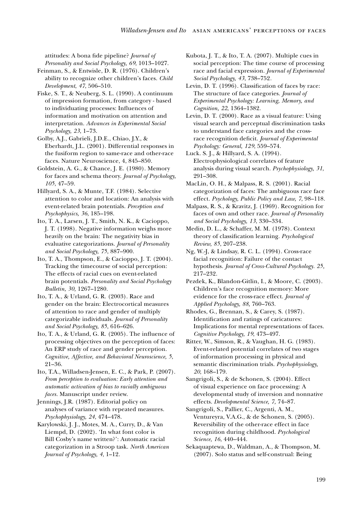attitudes: A bona fide pipeline? *Journal of Personality and Social Psychology, 69*, 1013–1027.

Feinman, S., & Entwisle, D. R. (1976). Children's ability to recognize other children's faces. *Child Development*, *47*, 506–510.

Fiske, S. T., & Neuberg, S. L. (1990). A continuum of impression formation, from category - based to individuating processes: Influences of information and motivation on attention and interpretation. *Advances in Experimental Social Psychology, 23*, 1–73.

Golby, A.J., Gabrieli, J.D.E., Chiao, J.Y., & Eberhardt, J.L. (2001). Differential responses in the fusiform region to same-race and other-race faces. Nature Neuroscience, 4, 845–850.

Goldstein, A. G., & Chance, J. E. (1980). Memory for faces and schema theory. *Journal of Psychology, 105*, 47–59.

Hillyard, S. A., & Munte, T.F. (1984). Selective attention to color and location: An analysis with event-related brain potentials. *Perception and Psychophysics, 36*, 185–198.

Ito, T. A., Larsen, J. T., Smith, N. K., & Cacioppo, J. T. (1998). Negative information weighs more heavily on the brain: The negativity bias in evaluative categorizations. *Journal of Personality and Social Psychology, 75*, 887–900.

Ito, T. A., Thompson, E., & Cacioppo, J. T. (2004). Tracking the timecourse of social perception: The effects of racial cues on event-related brain potentials. *Personality and Social Psychology Bulletin, 30,* 1267–1280.

Ito, T. A., & Urland, G. R. (2003). Race and gender on the brain: Electrocortical measures of attention to race and gender of multiply categorizable individuals. *Journal of Personality and Social Psychology, 85*, 616–626.

Ito, T. A., & Urland, G. R.  $(2005)$ . The influence of processing objectives on the perception of faces: An ERP study of race and gender perception. *Cognitive, Affective, and Behavioral Neuroscience, 5*, 21–36.

Ito, T.A., Willadsen-Jensen, E. C., & Park, P. (2007). *From perception to evaluation: Early attention and automatic activation of bias to racially ambiguous faces.* Manuscript under review.

Jennings, J.R. (1987). Editorial policy on analyses of variance with repeated measures. *Psychophysiology, 24*, 474–478.

Karylowski, J. J., Motes, M. A., Curry, D., & Van Liempd, D. (2002). 'In what font color is Bill Cosby's name written?': Automatic racial categorization in a Stroop task. *North American Journal of Psychology, 4*, 1–12.

Kubota, J. T., & Ito, T. A. (2007). Multiple cues in social perception: The time course of processing race and facial expression. *Journal of Experimental Social Psychology, 43*, 738–752*.* 

Levin, D. T. (1996). Classification of faces by race: The structure of face categories. *Journal of Experimental Psychology: Learning, Memory, and Cognition, 22*, 1364–1382.

Levin, D. T. (2000). Race as a visual feature: Using visual search and perceptual discrimination tasks to understand face categories and the crossrace recognition deficit. *Journal of Experimental Psychology: General, 129*, 559–574.

Luck. S. J., & Hillyard, S. A. (1994). Electrophysiological correlates of feature analysis during visual search. *Psychophysiology, 31*, 291–308.

MacLin, O. H., & Malpass, R. S. (2001). Racial categorization of faces: The ambiguous race face effect. *Psychology, Public Policy and Law, 7*, 98–118.

Malpass, R. S., & Kravitz, J. (1969). Recognition for faces of own and other race. *Journal of Personality and Social Psychology, 13*, 330–334.

Medin, D. L., & Schaffer, M. M. (1978). Context theory of classification learning. *Psychological Review, 85*, 207–238.

Ng, W.-J, & Lindsay, R. C. L. (1994). Cross-race facial recognition: Failure of the contact hypothesis. *Journal of Cross-Cultural Psychology. 25,* 217–232.

Pezdek, K., Blandon-Gitlin, I., & Moore, C. (2003). Children's face recognition memory: More evidence for the cross-race effect. *Journal of Applied Psychology, 88,* 760–763.

Rhodes, G., Brennan, S., & Carey, S. (1987). Identification and ratings of caricatures: Implications for mental representations of faces. *Cognitive Psychology, 19*, 473–497.

Ritter, W., Simson, R., & Vaughan, H. G. (1983). Event-related potential correlates of two stages of information processing in physical and semantic discrimination trials. *Psychophysiology, 20*, 168–179.

Sangrigoli, S., & de Schonen, S. (2004). Effect of visual experience on face processing: A developmental study of inversion and nonnative effects. *Developmental Science, 7,* 74–87.

Sangrigoli, S., Pallier, C., Argenti, A. M., Ventureyra, V.A.G., & de Schonen, S. (2005). Reversibility of the other-race effect in face recognition during childhood. *Psychological Science, 16*, 440–444.

Sekaquaptewa, D., Waldman, A., & Thompson, M. (2007). Solo status and self-construal: Being